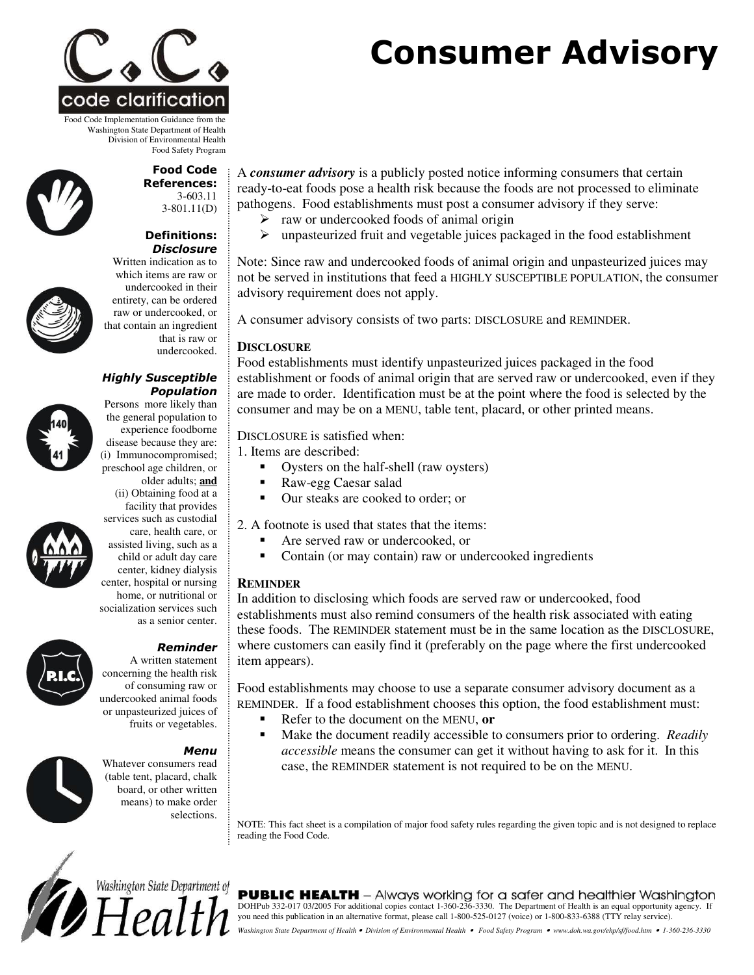

Food Code Implementation Guidance from the Washington State Department of Health Division of Environmental Health Food Safety Program





**Food Code References:** 

Disclosure Written indication as to which items are raw or undercooked in their entirety, can be ordered raw or undercooked, or that contain an ingredient that is raw or undercooked.

disease because they are: (i) Immunocompromised; preschool age children, or older adults; **and** (ii) Obtaining food at a

Population

Highly Susceptible Persons more likely than the general population to experience foodborne



facility that provides services such as custodial care, health care, or assisted living, such as a child or adult day care center, kidney dialysis center, hospital or nursing home, or nutritional or socialization services such as a senior center.



A written statement concerning the health risk of consuming raw or undercooked animal foods or unpasteurized juices of fruits or vegetables.

## **Menu**



Whatever consumers read (table tent, placard, chalk board, or other written means) to make order selections.

A *consumer advisory* is a publicly posted notice informing consumers that certain ready-to-eat foods pose a health risk because the foods are not processed to eliminate pathogens. Food establishments must post a consumer advisory if they serve:

- $\triangleright$  raw or undercooked foods of animal origin
- $\triangleright$  unpasteurized fruit and vegetable juices packaged in the food establishment

Note: Since raw and undercooked foods of animal origin and unpasteurized juices may not be served in institutions that feed a HIGHLY SUSCEPTIBLE POPULATION, the consumer advisory requirement does not apply.

A consumer advisory consists of two parts: DISCLOSURE and REMINDER.

## **DISCLOSURE**

Food establishments must identify unpasteurized juices packaged in the food establishment or foods of animal origin that are served raw or undercooked, even if they are made to order. Identification must be at the point where the food is selected by the consumer and may be on a MENU, table tent, placard, or other printed means.

#### DISCLOSURE is satisfied when:

1. Items are described:

- -Oysters on the half-shell (raw oysters)
- -Raw-egg Caesar salad
- -Our steaks are cooked to order; or

2. A footnote is used that states that the items:

- -Are served raw or undercooked, or
- -Contain (or may contain) raw or undercooked ingredients

## **REMINDER**

In addition to disclosing which foods are served raw or undercooked, food establishments must also remind consumers of the health risk associated with eating these foods. The REMINDER statement must be in the same location as the DISCLOSURE, where customers can easily find it (preferably on the page where the first undercooked item appears).

Food establishments may choose to use a separate consumer advisory document as a REMINDER. If a food establishment chooses this option, the food establishment must:

- -Refer to the document on the MENU, **or**
- - Make the document readily accessible to consumers prior to ordering. *Readily accessible* means the consumer can get it without having to ask for it. In this case, the REMINDER statement is not required to be on the MENU.

NOTE: This fact sheet is a compilation of major food safety rules regarding the given topic and is not designed to replace reading the Food Code.



**IC HEALTH** - Always working for a safer and healthier Washington DOHPub 332-017 03/2005 For additional copies contact 1-360-236-3330. The Department of Health is an equal opportunity agency. If you need this publication in an alternative format, please call 1-800-525-0127 (voice) or 1-800-833-6388 (TTY relay service). Washington State Department of Health • Division of Environmental Health • Food Safety Program • www.doh.wa.gov/ehp/sf/food.htm • 1-360-236-3330

# **Consumer Advisory**